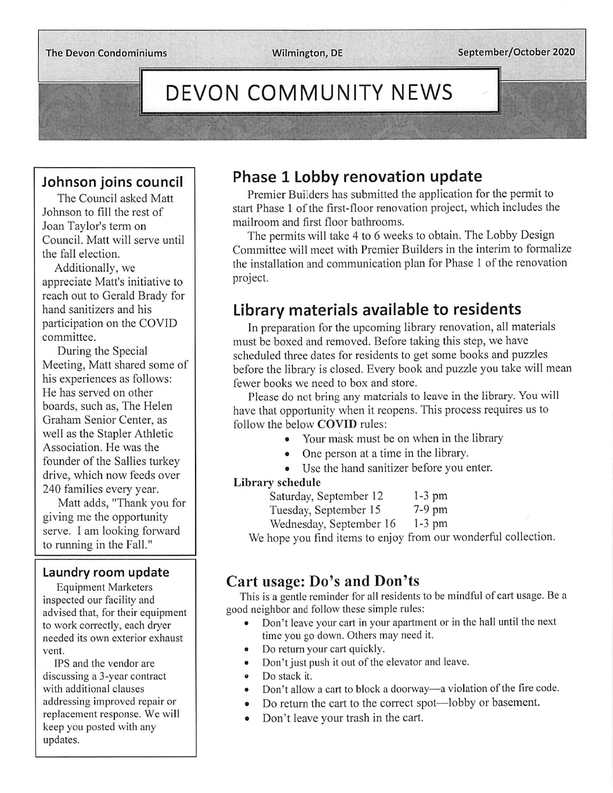# DEVON COMMUNITY NEWS

#### Johnson joins council

The Council asked Matt Johnson to fill the rest of Joan Taylor's term on Council. Matt will serve until the fall election.

Additionally, we appreciate Matt's initiative to reach out to Gerald Brady for hand sanitizers and his participation on the COVID committee.

During the Special Meeting, Matt shared some of his experiences as follows: He has served on other boards, such as, The Helen Graham Senior Center, as well as the Stapler Athletic Association. He was the founder of the Sallies turkey drive, which now feeds over 240 families every year.

Matt adds, "Thank you for giving me the opportunity serve. I am looking forward to running in the Fall."

#### Laundry room update

Equipment Marketers inspected our facility and advised that, for their equipment to work correctly, each dryer needed its own exterior exhaust vent.

IPS and the vendor are discussing a 3-year contract with additional clauses addressing improved repair or replacement response. We will keep you posted with any updates.

### Phase 1 Lobby renovation update

Premier Builders has submitted the application for the permit to start Phase 1 of the first-floor renovation project, which includes the mailroom and first floor bathrooms.

The permits will take 4 to 6 weeks to obtain. The Lobby Design Committee will meet with Premier Builders in the interim to formalize the installation and communication plan for Phase 1 of the renovation project.

## Library materials available to residents

In preparation for the upcoming library renovation, all materials must be boxed and removed. Before taking this step, we have scheduled three dates for residents to get some books and puzzles before the library is closed. Every book and puzzle you take will mean fewer books we need to box and store.

Please do not bring any materials to leave in the library. Youwill have that opportunity when it reopens. This process requires us to follow the below COVID rules:

- Your mask must be on when in the library
- One person at a time in the library.
- Use the hand sanitizer before you enter.

#### Library schedule

| Saturday, September 12 | $1-3$ pm |
|------------------------|----------|
| Tuesday, September 15  | $7-9$ pm |
|                        |          |

Wednesday, September 16 1-3 pm

We hope you find items to enjoy from our wonderful collection.

#### Cart usage: Do's and Don'ts

This is a gentle reminder for all residents to be mindful of cart usage. Be a good neighbor and follow these simple rules:

- Don't leave your cart in your apartment or in the hall until the next time you go down. Others may need it.
- Do return your cart quickly.
- Don't just push it out of the elevator and leave.
- ® Do stack it.
- Don't allow a cart to block a doorway—a violation of the fire code.
- Do return the cart to the correct spot—lobby or basement.
- Don't leave your trash in the cart.